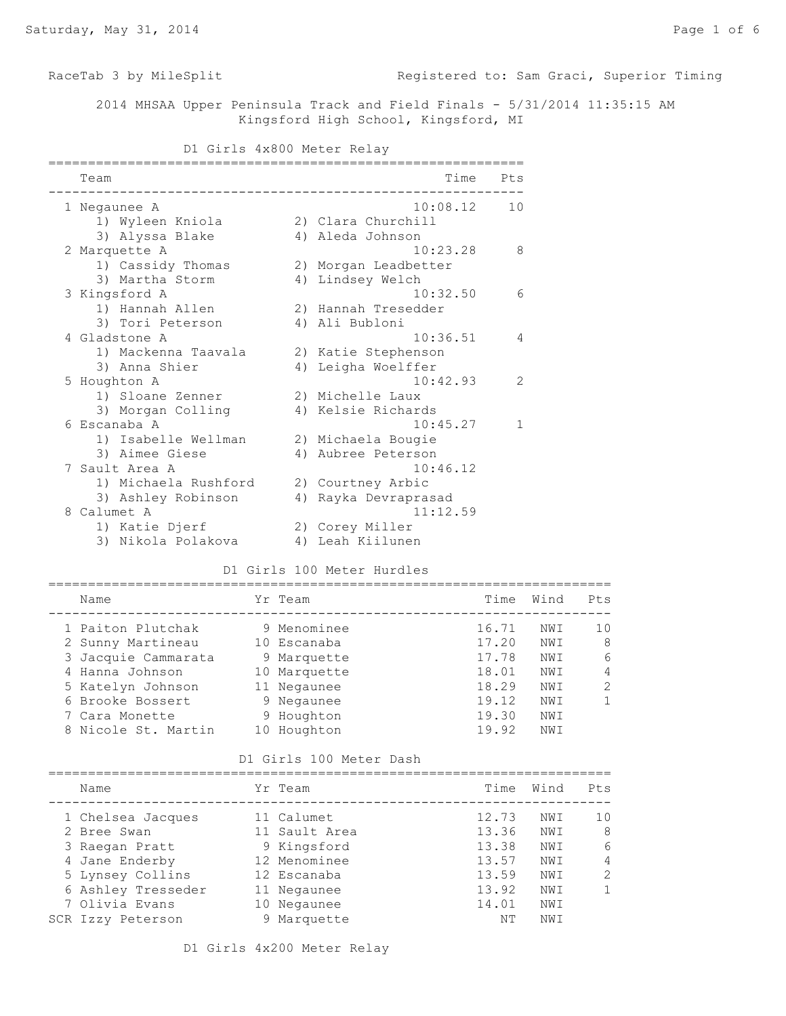RaceTab 3 by MileSplit **Registered to: Sam Graci, Superior Timing** 

 2014 MHSAA Upper Peninsula Track and Field Finals - 5/31/2014 11:35:15 AM Kingsford High School, Kingsford, MI

## D1 Girls 4x800 Meter Relay

| Team                                     |             |                             | Time Pts |                        |                |
|------------------------------------------|-------------|-----------------------------|----------|------------------------|----------------|
| 1 Negaunee A                             |             | 10:08.12                    | 10       |                        |                |
| 1) Wyleen Kniola                         |             | 2) Clara Churchill          |          |                        |                |
| 3) Alyssa Blake                          |             | 4) Aleda Johnson            |          |                        |                |
| 2 Marquette A                            |             | 10:23.28                    | 8        |                        |                |
| 1) Cassidy Thomas                        |             | 2) Morgan Leadbetter        |          |                        |                |
| 3) Martha Storm                          |             | 4) Lindsey Welch            |          |                        |                |
| 3 Kingsford A                            |             | 10:32.50                    | 6        |                        |                |
| 1) Hannah Allen                          |             | 2) Hannah Tresedder         |          |                        |                |
| 3) Tori Peterson                         |             | 4) Ali Bubloni              |          |                        |                |
| 4 Gladstone A                            |             | 10:36.51                    | 4        |                        |                |
| 1) Mackenna Taavala (2) Katie Stephenson |             |                             |          |                        |                |
| 3) Anna Shier                            |             | 4) Leigha Woelffer          |          |                        |                |
| 5 Houghton A                             |             | 10:42.93                    | 2        |                        |                |
| 1) Sloane Zenner                         |             | 2) Michelle Laux            |          |                        |                |
| 3) Morgan Colling                        |             | 4) Kelsie Richards          |          |                        |                |
| 6 Escanaba A                             |             | 10:45.27                    | 1        |                        |                |
| 1) Isabelle Wellman                      |             | 2) Michaela Bougie          |          |                        |                |
| 3) Aimee Giese                           |             | 4) Aubree Peterson          |          |                        |                |
| 7 Sault Area A                           |             | 10:46.12                    |          |                        |                |
| 1) Michaela Rushford 2) Courtney Arbic   |             |                             |          |                        |                |
| 3) Ashley Robinson (4) Rayka Devraprasad |             |                             |          |                        |                |
| 8 Calumet A                              |             | 11:12.59                    |          |                        |                |
| 1) Katie Djerf                           |             | 2) Corey Miller             |          |                        |                |
| 3) Nikola Polakova                       |             | 4) Leah Kiilunen            |          |                        |                |
|                                          |             |                             |          |                        |                |
|                                          |             | D1 Girls 100 Meter Hurdles  |          |                        |                |
| Name                                     | Yr Team     |                             |          | Time Wind              | Pts            |
|                                          |             | ___________________         |          |                        |                |
| 1 Paiton Plutchak                        |             | 9 Menominee                 | 16.71    | NWI                    | 10             |
| 2 Sunny Martineau                        | 10 Escanaba |                             |          | 17.20 NWI<br>17.78 NWI | 8              |
| 3 Jacquie Cammarata                      |             | 9 Marquette<br>10 Marquette |          |                        | 6              |
| 4 Hanna Johnson                          |             |                             |          | 18.01 NWI              | $\overline{4}$ |
| 5 Katelyn Johnson                        | 11 Negaunee |                             | 18.29    | NWI                    | $\overline{c}$ |
| 6 Brooke Bossert                         | 9 Negaunee  |                             | 19.12    | NWI                    | $\mathbf{1}$   |
| 7 Cara Monette                           | 9 Houghton  |                             | 19.30    | NWI                    |                |
| 8 Nicole St. Martin 10 Houghton          |             |                             | 19.92    | NWI                    |                |

D1 Girls 100 Meter Dash

| Name               | Yr Team       | Time  | Wind | Pts           |
|--------------------|---------------|-------|------|---------------|
| 1 Chelsea Jacques  | 11 Calumet    | 12.73 | NWI  | 10            |
| 2 Bree Swan        | 11 Sault Area | 13.36 | NWI  | 8             |
| 3 Raegan Pratt     | 9 Kingsford   | 13.38 | NWI  | 6             |
| 4 Jane Enderby     | 12 Menominee  | 13.57 | NWI  | 4             |
| 5 Lynsey Collins   | 12 Escanaba   | 13.59 | NWI  | $\mathcal{L}$ |
| 6 Ashley Tresseder | 11 Negaunee   | 13.92 | NWI  | $\mathbf{1}$  |
| 7 Olivia Evans     | 10 Negaunee   | 14.01 | NWI  |               |
| SCR Izzy Peterson  | 9 Marquette   | ΝT    | NWI  |               |

8 Nicole St. Martin 10 Houghton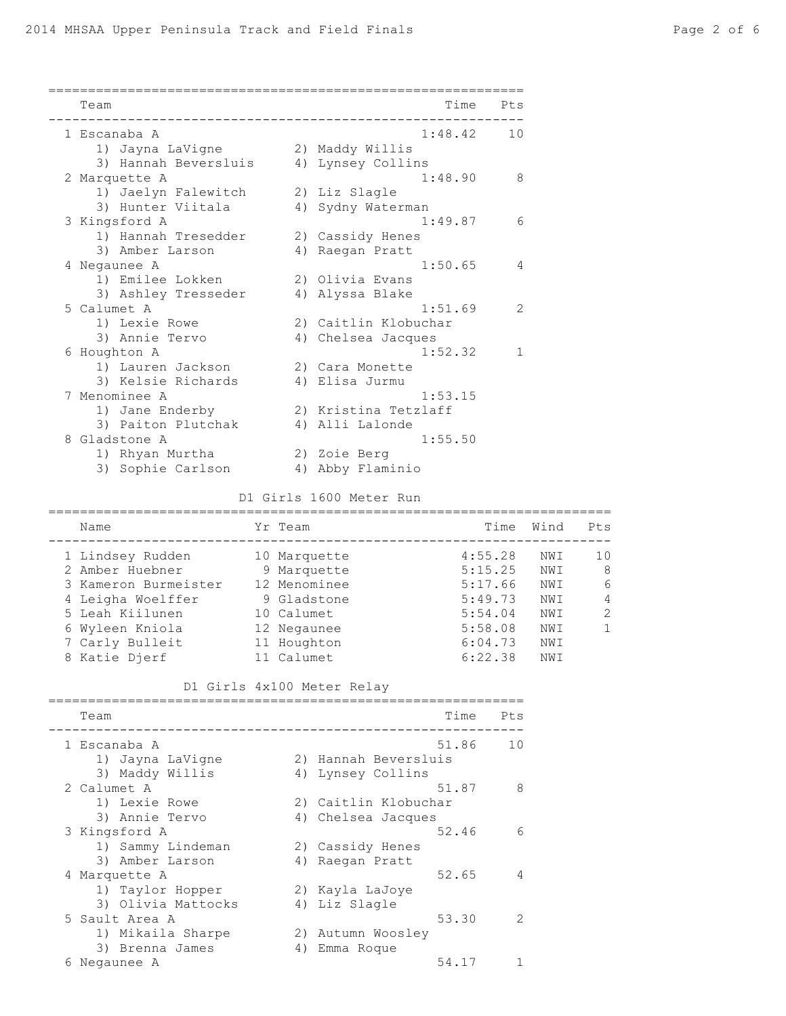| Team                 | Time                 | Pts |
|----------------------|----------------------|-----|
| 1 Escanaba A         | 1:48.42              | 10  |
| 1) Jayna LaVigne     | 2) Maddy Willis      |     |
| 3) Hannah Beversluis | 4) Lynsey Collins    |     |
| 2 Marquette A        | 1:48.90              | 8   |
| 1) Jaelyn Falewitch  | 2) Liz Slagle        |     |
| 3) Hunter Viitala    | 4) Sydny Waterman    |     |
| 3 Kingsford A        | 1:49.87              | 6   |
| 1) Hannah Tresedder  | 2) Cassidy Henes     |     |
| 3) Amber Larson      | 4) Raegan Pratt      |     |
| 4 Negaunee A         | 1:50.65              | 4   |
| 1) Emilee Lokken     | 2) Olivia Evans      |     |
| 3) Ashley Tresseder  | 4) Alyssa Blake      |     |
| 5 Calumet A          | 1:51.69              | 2   |
| 1) Lexie Rowe        | 2) Caitlin Klobuchar |     |
| 3) Annie Tervo       | 4) Chelsea Jacques   |     |
| 6 Houghton A         | 1:52.32              | 1   |
| 1) Lauren Jackson    | 2) Cara Monette      |     |
| 3) Kelsie Richards   | 4) Elisa Jurmu       |     |
| 7 Menominee A        | 1:53.15              |     |
| 1) Jane Enderby      | 2) Kristina Tetzlaff |     |
| 3) Paiton Plutchak   | 4) Alli Lalonde      |     |
| 8 Gladstone A        | 1:55.50              |     |
| 1) Rhyan Murtha      | 2) Zoie Berg         |     |
| 3) Sophie Carlson    | 4) Abby Flaminio     |     |

# D1 Girls 1600 Meter Run

| Name                 | Yr Team      | Time    | Wind | Pts           |
|----------------------|--------------|---------|------|---------------|
| 1 Lindsey Rudden     | 10 Marquette | 4:55.28 | NWI  | 10            |
| 2 Amber Huebner      | 9 Marquette  | 5:15.25 | NWI  | 8             |
| 3 Kameron Burmeister | 12 Menominee | 5:17.66 | NWI  | 6             |
| 4 Leigha Woelffer    | 9 Gladstone  | 5:49.73 | NWI  | 4             |
| 5 Leah Kiilunen      | 10 Calumet   | 5:54.04 | NWI  | $\mathcal{L}$ |
| 6 Wyleen Kniola      | 12 Negaunee  | 5:58.08 | NWI  | 1             |
| 7 Carly Bulleit      | 11 Houghton  | 6:04.73 | NWI  |               |
| 8 Katie Djerf        | 11 Calumet   | 6:22.38 | NWI  |               |

## D1 Girls 4x100 Meter Relay

|   | Team               |    | Time                 | Pts            |
|---|--------------------|----|----------------------|----------------|
|   | 1 Escanaba A       |    | 51.86                | 1 <sub>0</sub> |
|   | 1) Jayna LaVigne   |    | 2) Hannah Beversluis |                |
|   | 3) Maddy Willis    | 4) | Lynsey Collins       |                |
|   | 2 Calumet A        |    | 51.87                | $\mathcal{R}$  |
|   | 1) Lexie Rowe      |    | 2) Caitlin Klobuchar |                |
|   | 3) Annie Tervo     |    | 4) Chelsea Jacques   |                |
|   | 3 Kingsford A      |    | 52.46                | 6              |
|   | 1) Sammy Lindeman  |    | 2) Cassidy Henes     |                |
|   | 3) Amber Larson    |    | 4) Raegan Pratt      |                |
|   | 4 Marquette A      |    | 52.65                | 4              |
|   | 1) Taylor Hopper   |    | 2) Kayla LaJoye      |                |
|   | 3) Olivia Mattocks |    | 4) Liz Slagle        |                |
|   | 5 Sault Area A     |    | 53.30                | $\mathcal{P}$  |
|   | 1) Mikaila Sharpe  |    | 2) Autumn Woosley    |                |
|   | 3) Brenna James    | 4) | Emma Roque           |                |
| 6 | Negaunee A         |    | 54.17                |                |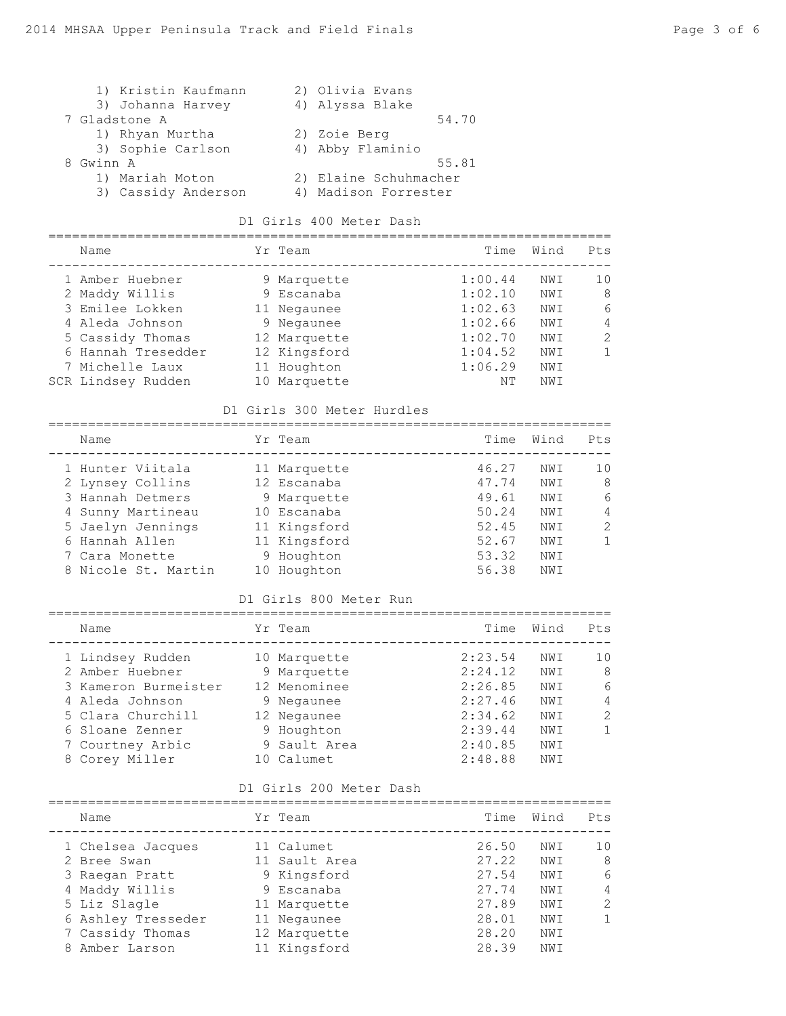| 1) Kristin Kaufmann | 2) Olivia Evans       |
|---------------------|-----------------------|
| 3) Johanna Harvey   | 4) Alyssa Blake       |
| 7 Gladstone A       | 54.70                 |
| 1) Rhyan Murtha     | 2) Zoie Berg          |
| 3) Sophie Carlson   | 4) Abby Flaminio      |
| 8 Gwinn A           | 55.81                 |
| 1) Mariah Moton     | 2) Elaine Schuhmacher |
| 3) Cassidy Anderson | 4) Madison Forrester  |

## D1 Girls 400 Meter Dash

| Name               |    | Yr Team      | Time    | Wind | Pts           |
|--------------------|----|--------------|---------|------|---------------|
| 1 Amber Huebner    |    | 9 Marquette  | 1:00.44 | NWI  | 10            |
| 2 Maddy Willis     |    | 9 Escanaba   | 1:02.10 | NWI  | 8             |
| 3 Emilee Lokken    |    | 11 Negaunee  | 1:02.63 | NW T | 6             |
| 4 Aleda Johnson    |    | 9 Negaunee   | 1:02.66 | NW T | 4             |
| 5 Cassidy Thomas   |    | 12 Marquette | 1:02.70 | NWI  | $\mathcal{L}$ |
| 6 Hannah Tresedder |    | 12 Kingsford | 1:04.52 | NW I |               |
| 7 Michelle Laux    |    | 11 Houghton  | 1:06.29 | NWI  |               |
| SCR Lindsey Rudden | 10 | Marquette    | NΤ      | NW I |               |

### D1 Girls 300 Meter Hurdles

| Name                |    | Yr Team      | Time  | Wind | Pts           |
|---------------------|----|--------------|-------|------|---------------|
| 1 Hunter Viitala    |    | 11 Marquette | 46.27 | NW I | 10            |
| 2 Lynsey Collins    |    | 12 Escanaba  | 47.74 | NWI  | 8             |
| 3 Hannah Detmers    |    | 9 Marquette  | 49.61 | NWI  | 6             |
| 4 Sunny Martineau   |    | 10 Escanaba  | 50.24 | NWI  | 4             |
| 5 Jaelyn Jennings   |    | 11 Kingsford | 52.45 | NWI  | $\mathcal{L}$ |
| 6 Hannah Allen      |    | 11 Kingsford | 52.67 | NWI  |               |
| 7 Cara Monette      |    | 9 Houghton   | 53.32 | NWI  |               |
| 8 Nicole St. Martin | 10 | Houghton     | 56.38 | NWI  |               |
|                     |    |              |       |      |               |

#### D1 Girls 800 Meter Run

| Name                 | Yr Team      | Time    | Wind | Pts           |
|----------------------|--------------|---------|------|---------------|
| 1 Lindsey Rudden     | 10 Marquette | 2:23.54 | NWI  | 10            |
| 2 Amber Huebner      | 9 Marquette  | 2:24.12 | NW T | 8             |
| 3 Kameron Burmeister | 12 Menominee | 2:26.85 | NW T | 6             |
| 4 Aleda Johnson      | 9 Negaunee   | 2:27.46 | NWI  | 4             |
| 5 Clara Churchill    | 12 Negaunee  | 2:34.62 | NW T | $\mathcal{L}$ |
| 6 Sloane Zenner      | 9 Houghton   | 2:39.44 | NWI  |               |
| 7 Courtney Arbic     | 9 Sault Area | 2:40.85 | NW T |               |
| 8 Corey Miller       | 10 Calumet   | 2:48.88 | NWI  |               |

#### D1 Girls 200 Meter Dash

| Name               | Yr Team       | Time  | Wind | Pts |
|--------------------|---------------|-------|------|-----|
| 1 Chelsea Jacques  | 11 Calumet    | 26.50 | NWI  | 10  |
| 2 Bree Swan        | 11 Sault Area | 27.22 | NWI  | 8   |
| 3 Raegan Pratt     | 9 Kingsford   | 27.54 | NWI  | 6   |
| 4 Maddy Willis     | 9 Escanaba    | 27.74 | NWI  | 4   |
| 5 Liz Slagle       | 11 Marquette  | 27.89 | NWI  | 2   |
| 6 Ashley Tresseder | 11 Negaunee   | 28.01 | NWI  |     |
| 7 Cassidy Thomas   | 12 Marquette  | 28.20 | NWI  |     |
| Amber Larson       | 11 Kingsford  | 28.39 | NWI  |     |
|                    |               |       |      |     |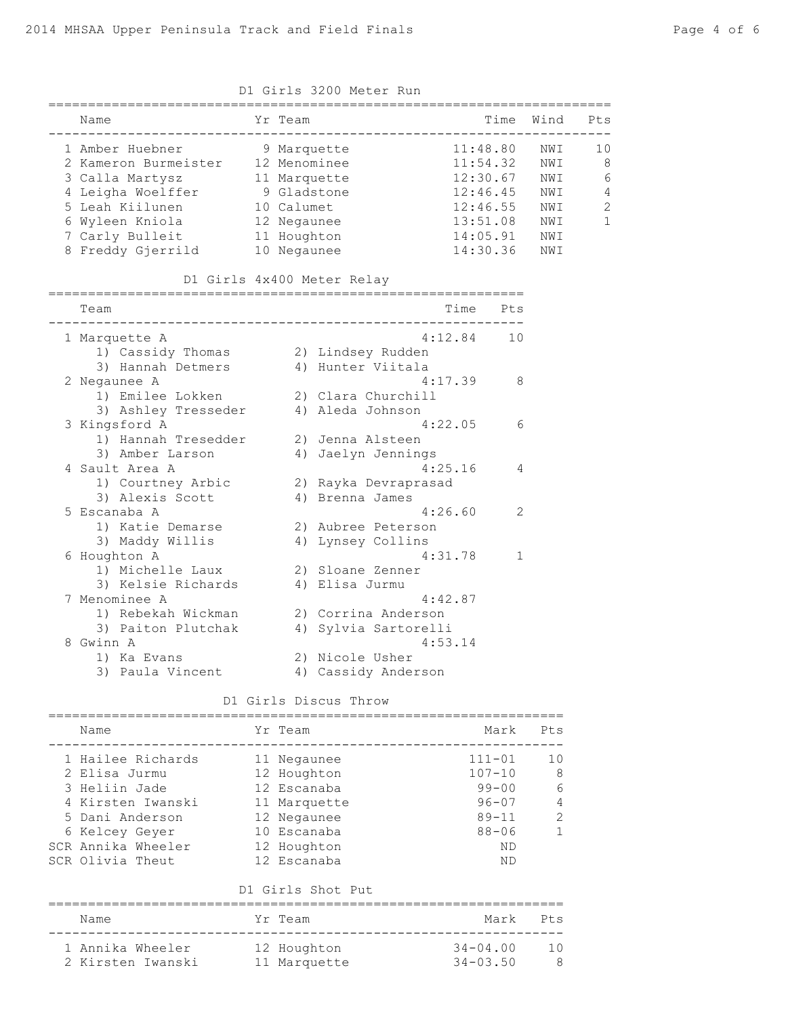|                                                                                                                                                                                        | D1 Girls 3200 Meter Run                                                                |                                                                                              |                                                      |                        |
|----------------------------------------------------------------------------------------------------------------------------------------------------------------------------------------|----------------------------------------------------------------------------------------|----------------------------------------------------------------------------------------------|------------------------------------------------------|------------------------|
| Name                                                                                                                                                                                   | Yr Team                                                                                | Time                                                                                         | Wind                                                 | Pts                    |
| 1 Amber Huebner<br>2 Kameron Burmeister 12 Menominee<br>3 Calla Martysz<br>4 Leigha Woelffer<br>5 Leah Kiilunen<br>6 Wyleen Kniola<br>7 Carly Bulleit 11 Houghton<br>8 Freddy Gjerrild | 9 Marquette<br>11 Marquette<br>9 Gladstone<br>10 Calumet<br>12 Negaunee<br>10 Negaunee | 11:48.80<br>11:54.32<br>12:30.67<br>12:46.45<br>12:46.55<br>13:51.08<br>14:05.91<br>14:30.36 | NWI<br>NWI<br>NWI<br>NWI<br>NWI<br>NWI<br>NWI<br>NWI | 10<br>8<br>6<br>4<br>2 |
|                                                                                                                                                                                        | D1 Girls 4x400 Meter Relay                                                             |                                                                                              |                                                      |                        |
| Team                                                                                                                                                                                   | ---------------------------------                                                      | Time<br>Pts                                                                                  |                                                      |                        |
| 1 Marquette A<br>1) Cassidy Thomas                                                                                                                                                     | 2) Lindsey Rudden                                                                      | $4:12.84$ 10                                                                                 |                                                      |                        |

3) Hannah Detmers (4) Hunter Viitala 2 Negaunee A 4:17.39 8 1) Emilee Lokken 2) Clara Churchill 3) Ashley Tresseder 4) Aleda Johnson 3 Kingsford A 4:22.05 6 1) Hannah Tresedder 2) Jenna Alsteen 3) Amber Larson 4) Jaelyn Jennings 4 Sault Area A 4:25.16 4 1) Courtney Arbic 2) Rayka Devraprasad 3) Alexis Scott 4) Brenna James 5 Escanaba A 4:26.60 2 1) Katie Demarse 2) Aubree Peterson 3) Maddy Willis 4) Lynsey Collins 6 Houghton A 4:31.78 1 1) Michelle Laux 2) Sloane Zenner 3) Kelsie Richards 4) Elisa Jurmu 7 Menominee A 4:42.87 1) Rebekah Wickman 2) Corrina Anderson 3) Paiton Plutchak 4) Sylvia Sartorelli 8 Gwinn A 4:53.14<br>
1) Ka Evans 2) Nicole Usher 2) Nicole Usher

# 3) Paula Vincent 4) Cassidy Anderson

#### D1 Girls Discus Throw

| Pts            | Mark         | Yr Team                       | Name               |  |
|----------------|--------------|-------------------------------|--------------------|--|
| 10             | $111 - 01$   | 11 Negaunee                   | 1 Hailee Richards  |  |
| 8              | $107 - 10$   | 12 Houghton                   | 2 Elisa Jurmu      |  |
| 6              | $99 - 00$    | 12 Escanaba                   | 3 Heliin Jade      |  |
| $\overline{4}$ | $96 - 07$    | 11 Marquette                  | 4 Kirsten Iwanski  |  |
| 2              | $89 - 11$    | 12 Negaunee                   | 5 Dani Anderson    |  |
| $\mathbf{1}$   | $88 - 06$    | 10 Escanaba                   | 6 Kelcey Geyer     |  |
|                | <b>ND</b>    | 12 Houghton                   | SCR Annika Wheeler |  |
|                | <b>ND</b>    | 12 Escanaba                   | SCR Olivia Theut   |  |
|                |              | D1 Girls Shot Put             |                    |  |
| Pts            | Mark         | Yr Team<br>__________________ | Name               |  |
| 10             | $34 - 04.00$ | 12 Houghton                   | 1 Annika Wheeler   |  |
| -8             | $34 - 03.50$ | 11 Marquette                  | 2 Kirsten Iwanski  |  |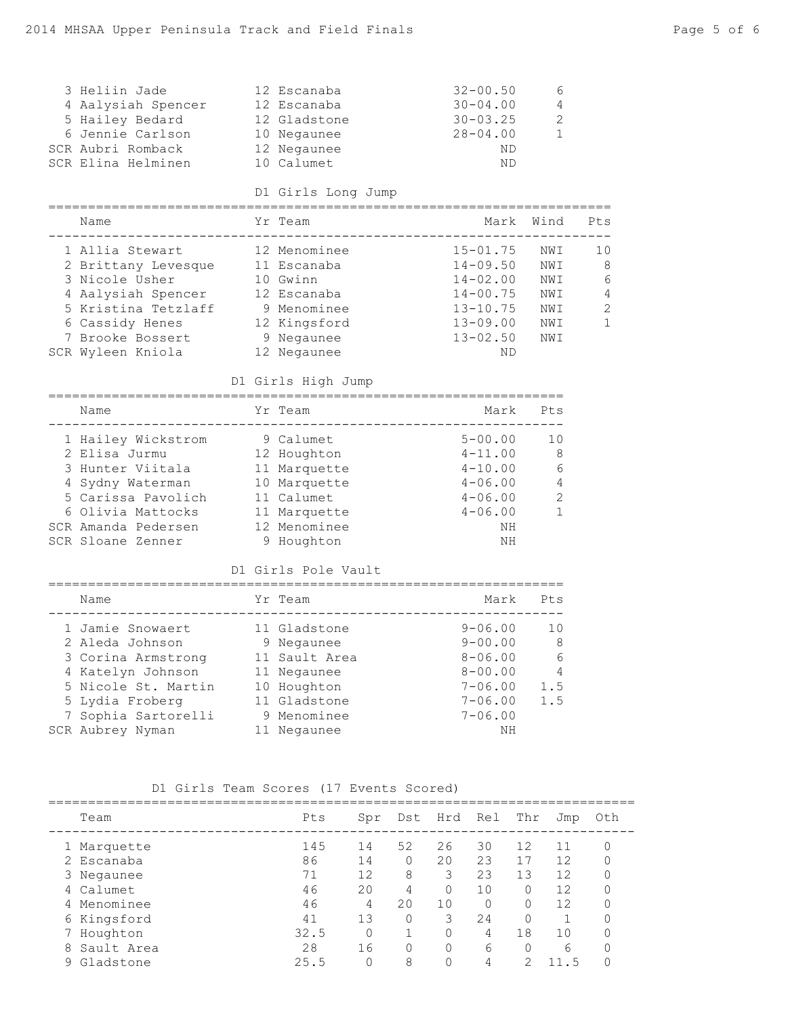| 3 Heliin Jade<br>4 Aalysiah Spencer<br>5 Hailey Bedard<br>6 Jennie Carlson<br>SCR Aubri Romback<br>SCR Elina Helminen                                               | 12 Escanaba<br>12 Escanaba<br>12 Gladstone<br>10 Negaunee<br>12 Negaunee<br>10 Calumet                                  | $32 - 00.50$<br>$30 - 04.00$<br>$30 - 03.25$<br>$28 - 04.00$<br>ND<br>ND                                       | 6<br>4<br>2<br>1                              |                             |
|---------------------------------------------------------------------------------------------------------------------------------------------------------------------|-------------------------------------------------------------------------------------------------------------------------|----------------------------------------------------------------------------------------------------------------|-----------------------------------------------|-----------------------------|
|                                                                                                                                                                     | D1 Girls Long Jump<br>:====================                                                                             |                                                                                                                |                                               |                             |
| Name                                                                                                                                                                | Yr Team                                                                                                                 |                                                                                                                | Mark Wind                                     | Pts                         |
| 1 Allia Stewart<br>2 Brittany Levesque<br>3 Nicole Usher<br>4 Aalysiah Spencer<br>5 Kristina Tetzlaff<br>6 Cassidy Henes<br>7 Brooke Bossert<br>SCR Wyleen Kniola   | 12 Menominee<br>11 Escanaba<br>10 Gwinn<br>12 Escanaba<br>9 Menominee<br>12 Kingsford<br>9 Negaunee<br>12 Negaunee      | $15 - 01.75$<br>$14 - 09.50$<br>$14 - 02.00$<br>$14 - 00.75$<br>$13 - 10.75$<br>13-09.00<br>$13 - 02.50$<br>ND | NWI<br>NWI<br>NWI<br>NWI<br>NWI<br>NWI<br>NWI | 10<br>8<br>6<br>4<br>2<br>1 |
|                                                                                                                                                                     | D1 Girls High Jump                                                                                                      |                                                                                                                |                                               |                             |
|                                                                                                                                                                     |                                                                                                                         |                                                                                                                |                                               |                             |
| Name                                                                                                                                                                | Yr Team                                                                                                                 | Mark                                                                                                           | Pts                                           |                             |
| 1 Hailey Wickstrom<br>2 Elisa Jurmu<br>3 Hunter Viitala<br>4 Sydny Waterman<br>5 Carissa Pavolich<br>6 Olivia Mattocks<br>SCR Amanda Pedersen<br>SCR Sloane Zenner  | 9 Calumet<br>12 Houghton<br>11 Marquette<br>10 Marquette<br>11 Calumet<br>11 Marquette<br>12 Menominee<br>9 Houghton    | $5 - 00.00$<br>$4 - 11.00$<br>$4 - 10.00$<br>$4 - 06.00$<br>$4 - 06.00$<br>$4 - 06.00$<br>ΝH<br>ΝH             | 10<br>8<br>6<br>4<br>$\mathbf{2}$<br>1        |                             |
|                                                                                                                                                                     | D1 Girls Pole Vault                                                                                                     |                                                                                                                |                                               |                             |
| Name                                                                                                                                                                | Yr Team                                                                                                                 |                                                                                                                | Mark Pts                                      |                             |
| 1 Jamie Snowaert<br>2 Aleda Johnson<br>3 Corina Armstrong<br>4 Katelyn Johnson<br>5 Nicole St. Martin<br>5 Lydia Froberg<br>7 Sophia Sartorelli<br>SCR Aubrey Nyman | 11 Gladstone<br>9 Negaunee<br>11 Sault Area<br>11 Negaunee<br>10 Houghton<br>11 Gladstone<br>9 Menominee<br>11 Negaunee | $9 - 06.00$<br>$9 - 00.00$<br>$8 - 06.00$<br>$8 - 00.00$<br>$7 - 06.00$<br>$7 - 06.00$<br>$7 - 06.00$<br>ΝH    | 10<br>8<br>6<br>4<br>1.5<br>1.5               |                             |

## D1 Girls Team Scores (17 Events Scored)

|   | Team        | Pts  | Spr | Dst | Hrd | Rel | Thr | Jmp | Oth |
|---|-------------|------|-----|-----|-----|-----|-----|-----|-----|
|   | 1 Marquette | 145  | 14  | 52  | 26  | 30  | 12  |     |     |
|   | 2 Escanaba  | 86   | 14  | 0   | 20  | 23  | 17  | 12  |     |
|   | 3 Negaunee  | 71   | 12  | 8   | 3   | 23  | 13  | 12  |     |
|   | 4 Calumet   | 46   | 20  | 4   | O   | 10  |     | 12  |     |
| 4 | Menominee   | 46   | 4   | 20  | 10  | 0   |     | 12  |     |
|   | 6 Kingsford | 41   | 13  | 0   | 3   | 24  |     |     |     |
|   | Houghton    | 32.5 |     |     | 0   | 4   | 18  | 10  |     |
| 8 | Sault Area  | 28   | 16  | 0   | 0   | 6   |     | 6   |     |
| 9 | Gladstone   | 25.5 |     | 8   |     | 4   |     |     |     |